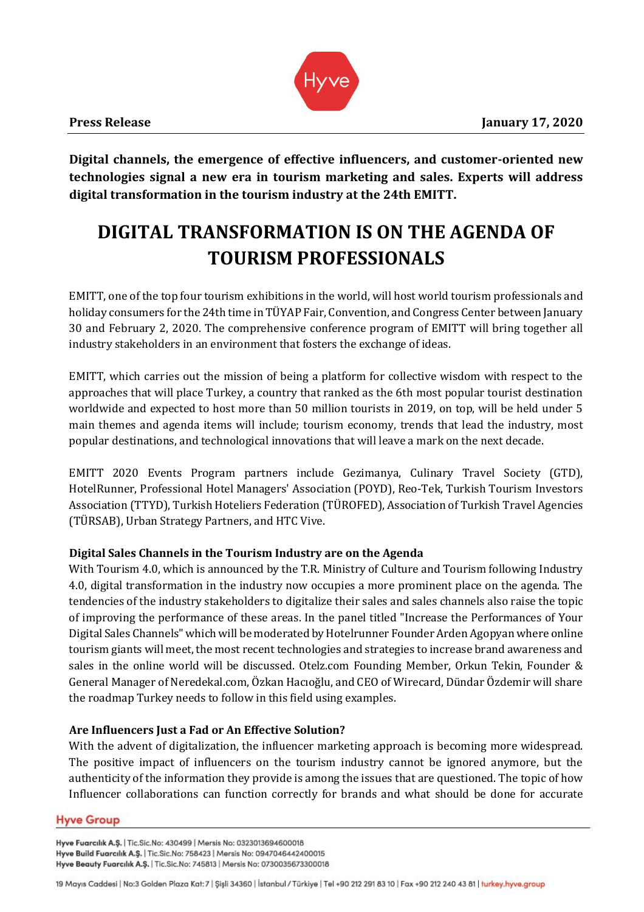

**Digital channels, the emergence of effective influencers, and customer-oriented new technologies signal a new era in tourism marketing and sales. Experts will address digital transformation in the tourism industry at the 24th EMITT.** 

# **DIGITAL TRANSFORMATION IS ON THE AGENDA OF TOURISM PROFESSIONALS**

EMITT, one of the top four tourism exhibitions in the world, will host world tourism professionals and holiday consumers for the 24th time in TÜYAP Fair, Convention, and Congress Center between January 30 and February 2, 2020. The comprehensive conference program of EMITT will bring together all industry stakeholders in an environment that fosters the exchange of ideas.

EMITT, which carries out the mission of being a platform for collective wisdom with respect to the approaches that will place Turkey, a country that ranked as the 6th most popular tourist destination worldwide and expected to host more than 50 million tourists in 2019, on top, will be held under 5 main themes and agenda items will include; tourism economy, trends that lead the industry, most popular destinations, and technological innovations that will leave a mark on the next decade.

EMITT 2020 Events Program partners include Gezimanya, Culinary Travel Society (GTD), HotelRunner, Professional Hotel Managers' Association (POYD), Reo-Tek, Turkish Tourism Investors Association (TTYD), Turkish Hoteliers Federation (TÜROFED), Association of Turkish Travel Agencies (TÜRSAB), Urban Strategy Partners, and HTC Vive.

# **Digital Sales Channels in the Tourism Industry are on the Agenda**

With Tourism 4.0, which is announced by the T.R. Ministry of Culture and Tourism following Industry 4.0, digital transformation in the industry now occupies a more prominent place on the agenda. The tendencies of the industry stakeholders to digitalize their sales and sales channels also raise the topic of improving the performance of these areas. In the panel titled "Increase the Performances of Your Digital Sales Channels" which will be moderated by Hotelrunner Founder Arden Agopyan where online tourism giants will meet, the most recent technologies and strategies to increase brand awareness and sales in the online world will be discussed. Otelz.com Founding Member, Orkun Tekin, Founder & General Manager of Neredekal.com, Özkan Hacıoğlu, and CEO of Wirecard, Dündar Özdemir will share the roadmap Turkey needs to follow in this field using examples.

# **Are Influencers Just a Fad or An Effective Solution?**

With the advent of digitalization, the influencer marketing approach is becoming more widespread. The positive impact of influencers on the tourism industry cannot be ignored anymore, but the authenticity of the information they provide is among the issues that are questioned. The topic of how Influencer collaborations can function correctly for brands and what should be done for accurate

## **Hyve Group**

Hyve Fuarcılık A.Ş. | Tic.Sic.No: 430499 | Mersis No: 0323013694600018 Hyve Build Fuarcılık A.Ş. | Tic.Sic.No: 758423 | Mersis No: 0947046442400015 Hyve Beauty Fuarcılık A.Ş. | Tic.Sic.No: 745813 | Mersis No: 0730035673300018